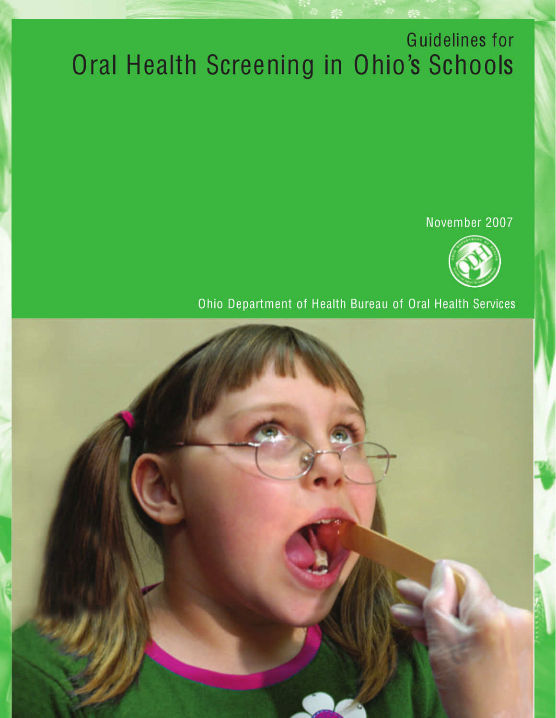# Guidelines for Oral Health Screening in Ohio's Schools

November 2007



Ohio Department of Health Bureau of Oral Health Services Ohio Department of Health Bureau of Oral Health Services

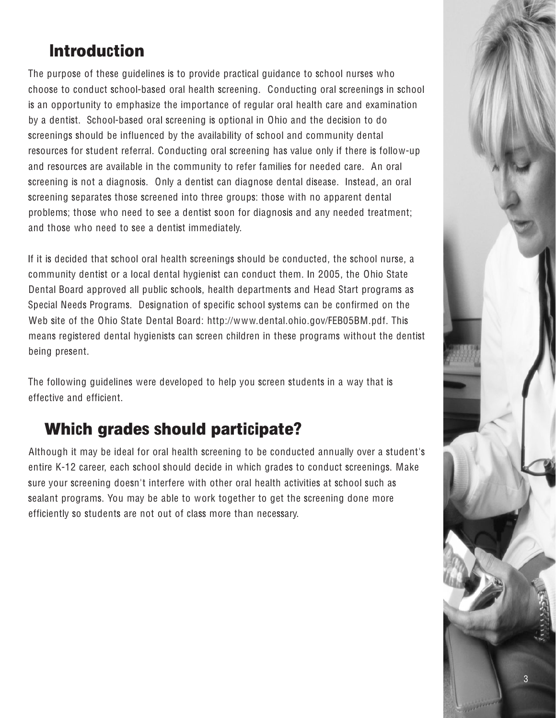### **Introduction**

The purpose of these guidelines is to provide practical guidance to school nurses who choose to conduct school-based oral health screening. Conducting oral screenings in school is an opportunity to emphasize the importance of regular oral health care and examination by a dentist. School-based oral screening is optional in Ohio and the decision to do screenings should be influenced by the availability of school and community dental resources for student referral. Conducting oral screening has value only if there is follow-up and resources are available in the community to refer families for needed care. An oral screening is not a diagnosis. Only a dentist can diagnose dental disease. Instead, an oral screening separates those screened into three groups: those with no apparent dental problems; those who need to see a dentist soon for diagnosis and any needed treatment; and those who need to see a dentist immediately.

If it is decided that school oral health screenings should be conducted, the school nurse, a community dentist or a local dental hygienist can conduct them. In 2005, the Ohio State Dental Board approved all public schools, health departments and Head Start programs as Special Needs Programs. Designation of specific school systems can be confirmed on the Web site of the Ohio State Dental Board: http://www.dental.ohio.gov/FEB05BM.pdf. This means registered dental hygienists can screen children in these programs without the dentist being present.

The following quidelines were developed to help you screen students in a way that is effective and efficient.

#### **Which grades should participate?**

Although it may be ideal for oral health screening to be conducted annually over a student's entire K-12 career, each school should decide in which grades to conduct screenings. Make sure your screening doesn't interfere with other oral health activities at school such as sealant programs. You may be able to work together to get the screening done more efficiently so students are not out of class more than necessary.

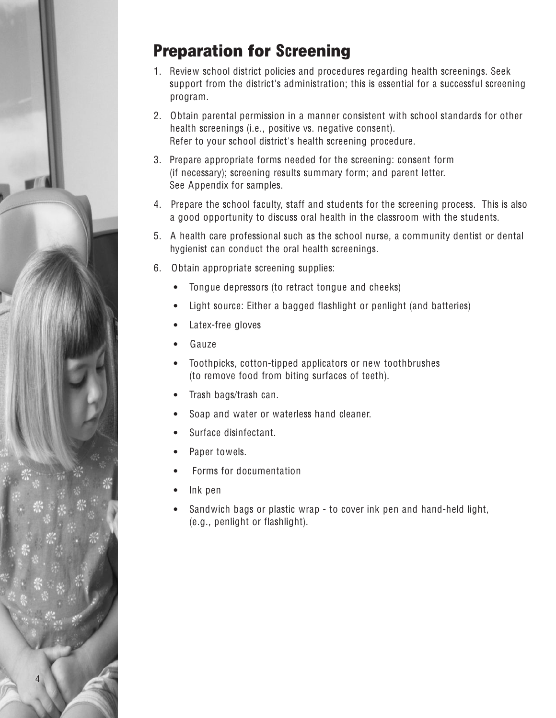

### Preparation for Screening

- 1. Review school district policies and procedures regarding health screenings. Seek support from the district's administration; this is essential for a successful screening program.
- 2. Obtain parental permission in a manner consistent with school standards for other health screenings (i.e., positive vs. negative consent). Refer to your school district's health screening procedure.
- 3. Prepare appropriate forms needed for the screening: consent form (if necessary); screening results summary form; and parent letter. See Appendix for samples.
- 4. Prepare the school faculty, staff and students for the screening process. This is also a good opportunity to discuss oral health in the classroom with the students.
- 5. A health care professional such as the school nurse, a community dentist or dental hygienist can conduct the oral health screenings.
- 6. Obtain appropriate screening supplies:
	- Tongue depressors (to retract tongue and cheeks)
	- Light source: Either a bagged flashlight or penlight (and batteries)
	- Latex-free gloves
	- **Gauze**
	- Toothpicks, cotton-tipped applicators or new toothbrushes (to remove food from biting surfaces of teeth).
	- Trash bags/trash can.
	- Soap and water or waterless hand cleaner.
	- Surface disinfectant.
	- Paper towels.
	- Forms for documentation
	- Ink pen
	- Sandwich bags or plastic wrap to cover ink pen and hand-held light, (e.g., penlight or flashlight).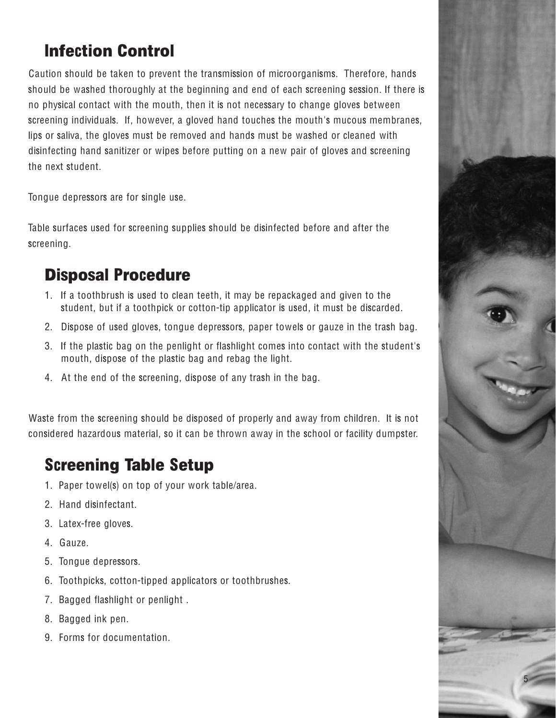### Infection Control

Caution should be taken to prevent the transmission of microorganisms. Therefore, hands should be washed thoroughly at the beginning and end of each screening session. If there is no physical contact with the mouth, then it is not necessary to change gloves between screening individuals. If, however, a gloved hand touches the mouth's mucous membranes, lips or saliva, the gloves must be removed and hands must be washed or cleaned with disinfecting hand sanitizer or wipes before putting on a new pair of gloves and screening the next student.

Tongue depressors are for single use.

Table surfaces used for screening supplies should be disinfected before and after the screening.

#### Disposal Procedure

- 1. If a toothbrush is used to clean teeth, it may be repackaged and given to the student, but if a toothpick or cotton-tip applicator is used, it must be discarded.
- 2. Dispose of used gloves, tongue depressors, paper towels or gauze in the trash bag.
- 3. If the plastic bag on the penlight or flashlight comes into contact with the student's mouth, dispose of the plastic bag and rebag the light.
- 4. At the end of the screening, dispose of any trash in the bag.

Waste from the screening should be disposed of properly and away from children. It is not considered hazardous material, so it can be thrown away in the school or facility dumpster.

### Screening Table Setup

- 1. Paper towel(s) on top of your work table/area.
- 2. Hand disinfectant.
- 3. Latex-free gloves.
- 4. Gauze.
- 5. Tongue depressors.
- 6. Toothpicks, cotton-tipped applicators or toothbrushes.
- 7. Bagged flashlight or penlight .
- 8. Bagged ink pen.
- 9. Forms for documentation.

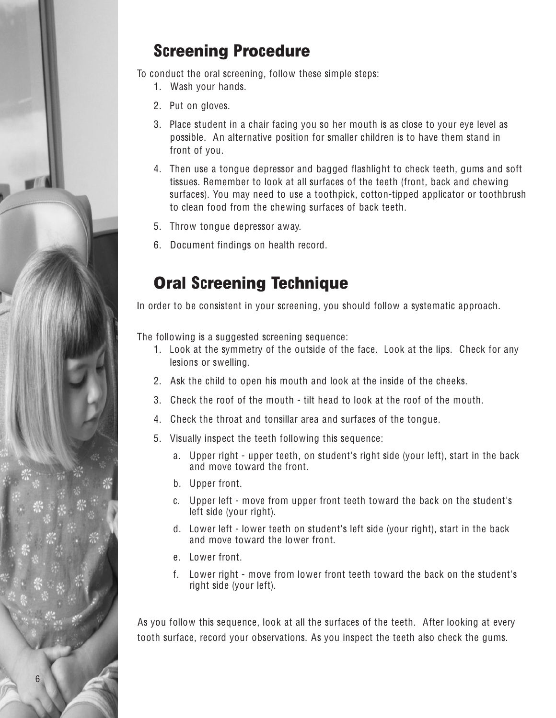# **Screening Procedure**

To conduct the oral screening, follow these simple steps:

- 1. Wash your hands.
- 2. Put on gloves.
- 3. Place student in a chair facing you so her mouth is as close to your eye level as possible. An alternative position for smaller children is to have them stand in front of you.
- 4. Then use a tongue depressor and bagged flashlight to check teeth, gums and soft tissues. Remember to look at all surfaces of the teeth (front, back and chewing surfaces). You may need to use a toothpick, cotton-tipped applicator or toothbrush to clean food from the chewing surfaces of back teeth.
- 5. Throw tongue depressor away.
- 6. Document findings on health record.

### **Oral Screening Technique**

In order to be consistent in your screening, you should follow a systematic approach.

The following is a suggested screening sequence:

- 1. Look at the symmetry of the outside of the face. Look at the lips. Check for any lesions or swelling.
- 2. Ask the child to open his mouth and look at the inside of the cheeks.
- 3. Check the roof of the mouth tilt head to look at the roof of the mouth.
- 4. Check the throat and tonsillar area and surfaces of the tongue.
- 5. Visually inspect the teeth following this sequence:
	- a. Upper right upper teeth, on student's right side (your left), start in the back and move toward the front.
	- b. Upper front.
	- c. Upper left move from upper front teeth toward the back on the student's left side (your right).
	- d. Lower left lower teeth on student's left side (your right), start in the back and move toward the lower front.
	- e. Lower front.
	- f. Lower right move from lower front teeth toward the back on the student's right side (your left).

As you follow this sequence, look at all the surfaces of the teeth. After looking at every tooth surface, record your observations. As you inspect the teeth also check the gums.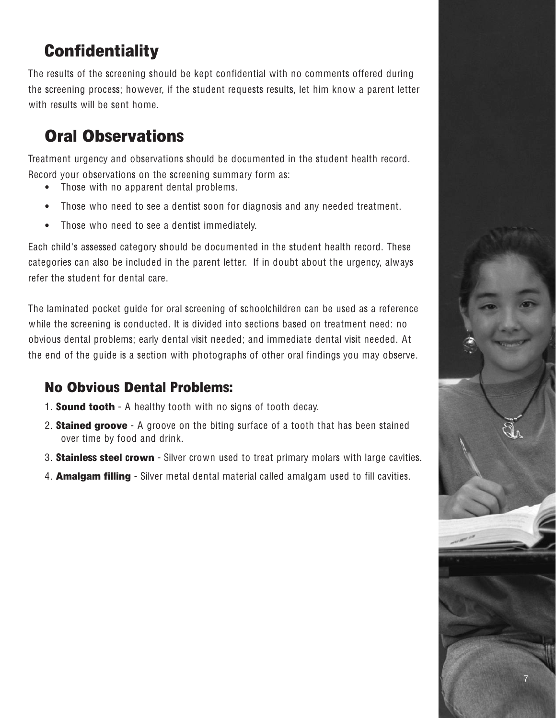### **Confidentiality**

The results of the screening should be kept confidential with no comments offered during the screening process; however, if the student requests results, let him know a parent letter with results will be sent home.

### Oral Observations

Treatment urgency and observations should be documented in the student health record. Record your observations on the screening summary form as:

- Those with no apparent dental problems.
- Those who need to see a dentist soon for diagnosis and any needed treatment.
- Those who need to see a dentist immediately.

Each child's assessed category should be documented in the student health record. These categories can also be included in the parent letter. If in doubt about the urgency, always refer the student for dental care.

The laminated pocket guide for oral screening of schoolchildren can be used as a reference while the screening is conducted. It is divided into sections based on treatment need: no obvious dental problems; early dental visit needed; and immediate dental visit needed. At the end of the guide is a section with photographs of other oral findings you may observe.

#### No Obvious Dental Problems:

- 1. **Sound tooth** A healthy tooth with no signs of tooth decay.
- 2. **Stained groove** A groove on the biting surface of a tooth that has been stained over time by food and drink.
- 3. **Stainless steel crown** Silver crown used to treat primary molars with large cavities.
- 4. **Amalgam filling** Silver metal dental material called amalgam used to fill cavities.

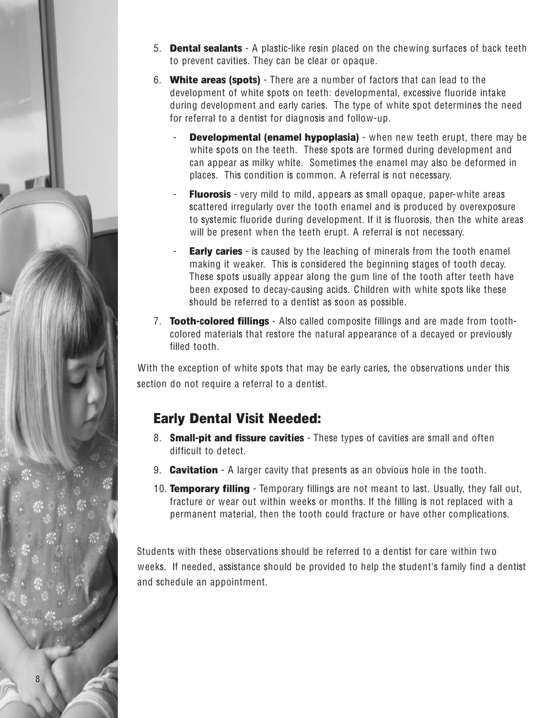

- 5. Dental sealants A plastic-like resin placed on the chewing surfaces of back teeth to prevent cavities. They can be clear or opaque.
- 6. White areas (spots) There are a number of factors that can lead to the development of white spots on teeth: developmental, excessive fluoride intake during development and early caries. The type of white spot determines the need for referral to a dentist for diagnosis and follow-up.
	- **Developmental (enamel hypoplasia)** when new teeth erupt, there may be white spots on the teeth. These spots are formed during development and can appear as milky white. Sometimes the enamel may also be deformed in places. This condition is common. A referral is not necessary.
	- **Fluorosis** very mild to mild, appears as small opaque, paper-white areas scattered irregularly over the tooth enamel and is produced by overexposure to systemic fluoride during development. If it is fluorosis, then the white areas will be present when the teeth erupt. A referral is not necessary.
	- **Early caries** is caused by the leaching of minerals from the tooth enamel making it weaker. This is considered the beginning stages of tooth decay. These spots usually appear along the gum line of the tooth after teeth have been exposed to decay-causing acids. Children with white spots like these should be referred to a dentist as soon as possible.
- 7. **Tooth-colored fillings** Also called composite fillings and are made from toothcolored materials that restore the natural appearance of a decayed or previously filled tooth.

With the exception of white spots that may be early caries, the observations under this section do not require a referral to a dentist.

#### Early Dental Visit Needed:

- 8. **Small-pit and fissure cavities** These types of cavities are small and often difficult to detect.
- 9. **Cavitation** A larger cavity that presents as an obvious hole in the tooth.
- 10. **Temporary filling** Temporary fillings are not meant to last. Usually, they fall out, fracture or wear out within weeks or months. If the filling is not replaced with a permanent material, then the tooth could fracture or have other complications.

Students with these observations should be referred to a dentist for care within two weeks. If needed, assistance should be provided to help the student's family find a dentist and schedule an appointment.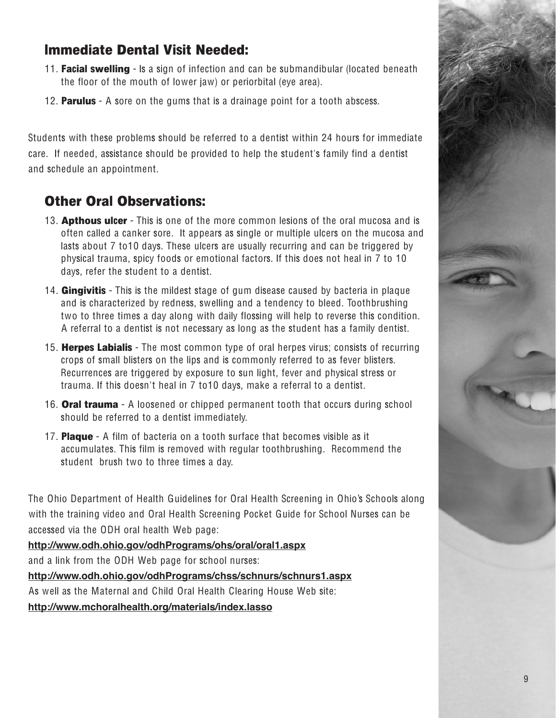#### Immediate Dental Visit Needed:

- 11. **Facial swelling** Is a sign of infection and can be submandibular (located beneath the floor of the mouth of lower jaw) or periorbital (eye area).
- 12. **Parulus** A sore on the gums that is a drainage point for a tooth abscess.

Students with these problems should be referred to a dentist within 24 hours for immediate care. If needed, assistance should be provided to help the student's family find a dentist and schedule an appointment.

#### Other Oral Observations:

- 13. **Apthous ulcer** This is one of the more common lesions of the oral mucosa and is often called a canker sore. It appears as single or multiple ulcers on the mucosa and lasts about 7 to10 days. These ulcers are usually recurring and can be triggered by physical trauma, spicy foods or emotional factors. If this does not heal in 7 to 10 days, refer the student to a dentist.
- 14. **Gingivitis** This is the mildest stage of gum disease caused by bacteria in plaque and is characterized by redness, swelling and a tendency to bleed. Toothbrushing two to three times a day along with daily flossing will help to reverse this condition. A referral to a dentist is not necessary as long as the student has a family dentist.
- 15. **Herpes Labialis** The most common type of oral herpes virus; consists of recurring crops of small blisters on the lips and is commonly referred to as fever blisters. Recurrences are triggered by exposure to sun light, fever and physical stress or trauma. If this doesn't heal in 7 to10 days, make a referral to a dentist.
- 16. **Oral trauma** A loosened or chipped permanent tooth that occurs during school should be referred to a dentist immediately.
- 17. **Plaque** A film of bacteria on a tooth surface that becomes visible as it accumulates. This film is removed with regular toothbrushing. Recommend the student brush two to three times a day.

The Ohio Department of Health Guidelines for Oral Health Screening in Ohio's Schools along with the training video and Oral Health Screening Pocket Guide for School Nurses can be accessed via the ODH oral health Web page:

**http://www.odh.ohio.gov/odhPrograms/ohs/oral/oral1.aspx** and a link from the ODH Web page for school nurses: **http://www.odh.ohio.gov/odhPrograms/chss/schnurs/schnurs1.aspx** As well as the Maternal and Child Oral Health Clearing House Web site: **http://www.mchoralhealth.org/materials/index.lasso**

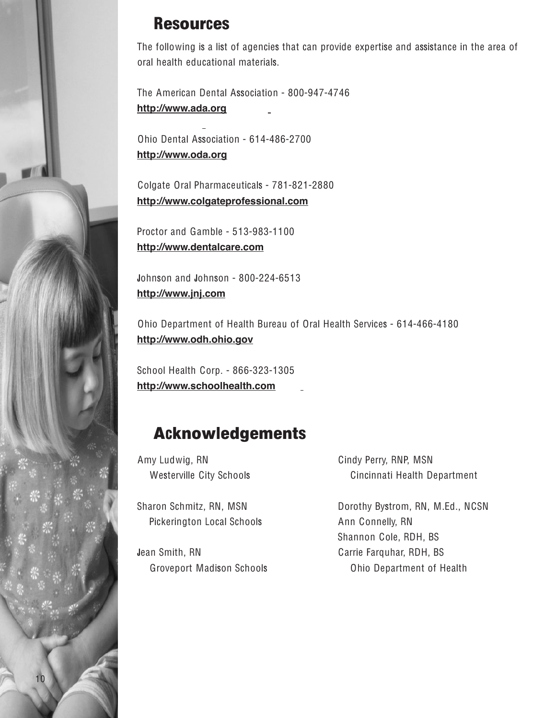#### Resources

The following is a list of agencies that can provide expertise and assistance in the area of oral health educational materials.

The American Dental Association - 800-947-4746 **http://www.ada.org**

Ohio Dental Association - 614-486-2700 **http://www.oda.org**

Colgate Oral Pharmaceuticals - 781-821-2880 **http://www.colgateprofessional.com**

Proctor and Gamble - 513-983-1100 **http://www.dentalcare.com**

Johnson and Johnson - 800-224-6513 **http://www.jnj.com**

Ohio Department of Health Bureau of Oral Health Services - 614-466-4180 **http://www.odh.ohio.gov**

School Health Corp. - 866-323-1305 **http://www.schoolhealth.com**

#### Acknowledgements

Amy Ludwig, RN Westerville City Schools

Sharon Schmitz, RN, MSN Pickerington Local Schools

Jean Smith, RN Groveport Madison Schools Cindy Perry, RNP, MSN Cincinnati Health Department

Dorothy Bystrom, RN, M.Ed., NCSN Ann Connelly, RN Shannon Cole, RDH, BS Carrie Farquhar, RDH, BS Ohio Department of Health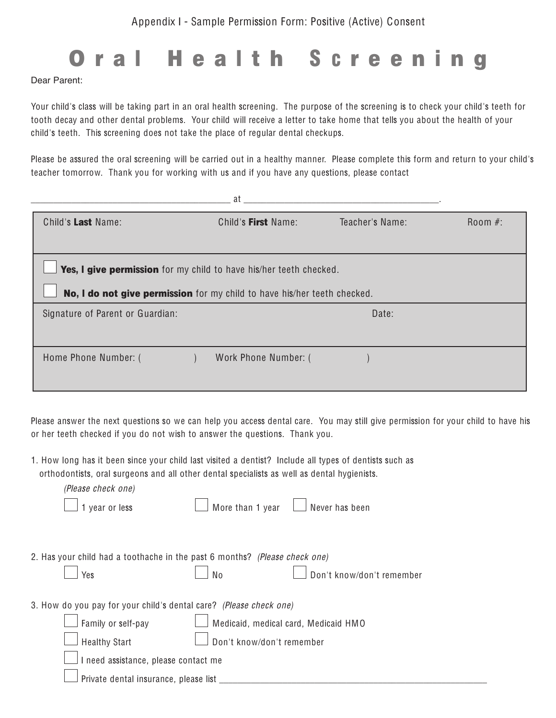# Oral Health Screening

Dear Parent:

Your child's class will be taking part in an oral health screening. The purpose of the screening is to check your child's teeth for tooth decay and other dental problems. Your child will receive a letter to take home that tells you about the health of your child's teeth. This screening does not take the place of regular dental checkups.

Please be assured the oral screening will be carried out in a healthy manner. Please complete this form and return to your child's teacher tomorrow. Thank you for working with us and if you have any questions, please contact

|                                                                    | at                                                                       |                 |            |
|--------------------------------------------------------------------|--------------------------------------------------------------------------|-----------------|------------|
| Child's Last Name:                                                 | Child's First Name:                                                      | Teacher's Name: | Room $#$ : |
|                                                                    |                                                                          |                 |            |
| Yes, I give permission for my child to have his/her teeth checked. |                                                                          |                 |            |
|                                                                    | No, I do not give permission for my child to have his/her teeth checked. |                 |            |
| Signature of Parent or Guardian:                                   |                                                                          | Date:           |            |
|                                                                    |                                                                          |                 |            |
| Home Phone Number: (                                               | Work Phone Number: (                                                     |                 |            |
|                                                                    |                                                                          |                 |            |

Please answer the next questions so we can help you access dental care. You may still give permission for your child to have his or her teeth checked if you do not wish to answer the questions. Thank you.

1. How long has it been since your child last visited a dentist? Include all types of dentists such as

|                                                                    | orthodontists, oral surgeons and all other dental specialists as well as dental hygienists. |  |
|--------------------------------------------------------------------|---------------------------------------------------------------------------------------------|--|
| (Please check one)                                                 |                                                                                             |  |
| 1 year or less                                                     | More than 1 year<br>Never has been                                                          |  |
|                                                                    |                                                                                             |  |
|                                                                    | 2. Has your child had a toothache in the past 6 months? (Please check one)                  |  |
| Yes                                                                | Don't know/don't remember<br>No                                                             |  |
| 3. How do you pay for your child's dental care? (Please check one) |                                                                                             |  |
| Family or self-pay                                                 | Medicaid, medical card, Medicaid HMO                                                        |  |
| <b>Healthy Start</b>                                               | Don't know/don't remember                                                                   |  |
| I need assistance, please contact me                               |                                                                                             |  |
| Private dental insurance, please list                              |                                                                                             |  |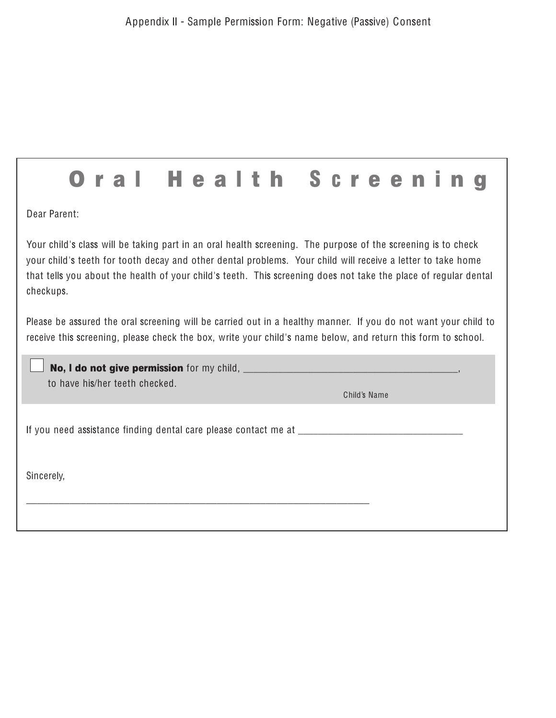1

|                                                                                                                                                                                                                                                                                                                                                             |  |                                |  |  | Health |  |              |  |  |  |
|-------------------------------------------------------------------------------------------------------------------------------------------------------------------------------------------------------------------------------------------------------------------------------------------------------------------------------------------------------------|--|--------------------------------|--|--|--------|--|--------------|--|--|--|
| Dear Parent:                                                                                                                                                                                                                                                                                                                                                |  |                                |  |  |        |  |              |  |  |  |
| Your child's class will be taking part in an oral health screening. The purpose of the screening is to check<br>your child's teeth for tooth decay and other dental problems. Your child will receive a letter to take home<br>that tells you about the health of your child's teeth. This screening does not take the place of regular dental<br>checkups. |  |                                |  |  |        |  |              |  |  |  |
| Please be assured the oral screening will be carried out in a healthy manner. If you do not want your child to<br>receive this screening, please check the box, write your child's name below, and return this form to school.                                                                                                                              |  |                                |  |  |        |  |              |  |  |  |
|                                                                                                                                                                                                                                                                                                                                                             |  | to have his/her teeth checked. |  |  |        |  | Child's Name |  |  |  |
|                                                                                                                                                                                                                                                                                                                                                             |  |                                |  |  |        |  |              |  |  |  |
| Sincerely,                                                                                                                                                                                                                                                                                                                                                  |  |                                |  |  |        |  |              |  |  |  |
|                                                                                                                                                                                                                                                                                                                                                             |  |                                |  |  |        |  |              |  |  |  |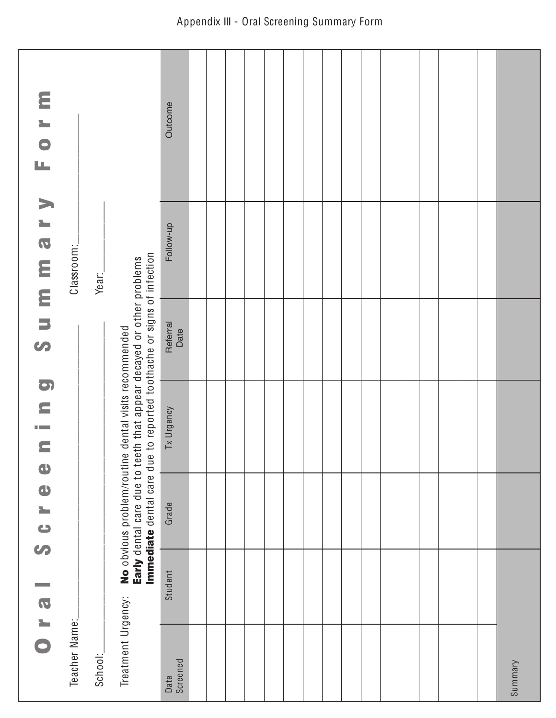| $\overline{a}$ 1 0 | an an   | O LO<br>S                  | O<br>E<br><b>The State</b><br>$\equiv$<br>$\bullet$                                                                                                                        | S                | ummary     | EOFM    |
|--------------------|---------|----------------------------|----------------------------------------------------------------------------------------------------------------------------------------------------------------------------|------------------|------------|---------|
| Teacher Name:      |         |                            |                                                                                                                                                                            |                  | Classroom: |         |
| School:            |         |                            |                                                                                                                                                                            |                  | Year:      |         |
| Treatment Urgency: |         | No obvious problem/routine | Immediate dental care due to reported toothache or signs of infection<br>Early dental care due to teeth that appear decayed or other problems<br>dental visits recommended |                  |            |         |
| Screened<br>Date   | Student | Grade                      | Tx Urgency                                                                                                                                                                 | Referral<br>Date | Follow-up  | Outcome |
|                    |         |                            |                                                                                                                                                                            |                  |            |         |
|                    |         |                            |                                                                                                                                                                            |                  |            |         |
|                    |         |                            |                                                                                                                                                                            |                  |            |         |
|                    |         |                            |                                                                                                                                                                            |                  |            |         |
|                    |         |                            |                                                                                                                                                                            |                  |            |         |
|                    |         |                            |                                                                                                                                                                            |                  |            |         |
|                    |         |                            |                                                                                                                                                                            |                  |            |         |
|                    |         |                            |                                                                                                                                                                            |                  |            |         |
|                    |         |                            |                                                                                                                                                                            |                  |            |         |
|                    |         |                            |                                                                                                                                                                            |                  |            |         |
|                    |         |                            |                                                                                                                                                                            |                  |            |         |
|                    |         |                            |                                                                                                                                                                            |                  |            |         |
|                    |         |                            |                                                                                                                                                                            |                  |            |         |
|                    |         |                            |                                                                                                                                                                            |                  |            |         |
|                    |         |                            |                                                                                                                                                                            |                  |            |         |
|                    |         |                            |                                                                                                                                                                            |                  |            |         |
| Summary            |         |                            |                                                                                                                                                                            |                  |            |         |

#### Appendix III - Oral Screening Summary Form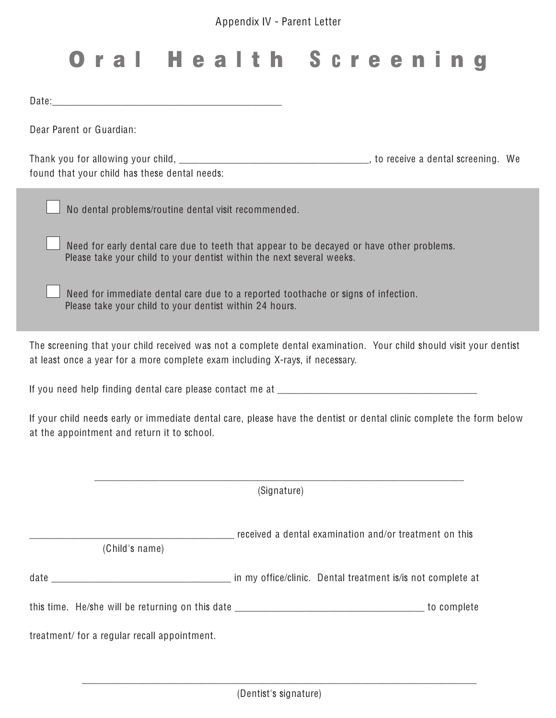## O r a l H e a l t h S c r e e n i n g

Date:

Dear Parent or Guardian:

Thank you for allowing your child, \_\_\_\_\_\_\_\_\_\_\_\_\_\_\_\_\_\_\_\_\_\_\_\_\_\_\_\_\_\_\_\_\_\_\_\_\_\_, to receive a dental screening. We found that your child has these dental needs:

No dental problems/routine dental visit recommended.

Need for early dental care due to teeth that appear to be decayed or have other problems. Please take your child to your dentist within the next several weeks.

Need for immediate dental care due to a reported toothache or signs of infection. Please take your child to your dentist within 24 hours.

The screening that your child received was not a complete dental examination. Your child should visit your dentist at least once a year for a more complete exam including X-rays, if necessary.

If you need help finding dental care please contact me at \_\_\_\_\_\_\_\_\_\_\_\_\_\_\_\_\_\_\_\_\_\_

If your child needs early or immediate dental care, please have the dentist or dental clinic complete the form below at the appointment and return it to school.

\_\_\_\_\_\_\_\_\_\_\_\_\_\_\_\_\_\_\_\_\_\_\_\_\_\_\_\_\_\_\_\_\_\_\_\_\_\_\_\_\_\_\_\_\_\_\_\_\_\_\_\_\_\_\_\_\_\_\_\_\_\_\_\_\_\_\_\_\_\_\_\_\_\_ (Signature) \_\_\_\_\_\_\_\_\_\_\_\_\_\_\_\_\_\_\_\_\_\_\_\_\_\_\_\_\_\_\_\_\_\_\_\_\_\_\_\_\_ received a dental examination and/or treatment on this (Child's name) date \_\_\_\_\_\_\_\_\_\_\_\_\_\_\_\_\_\_\_\_\_\_\_\_\_\_\_\_\_\_\_\_\_\_\_\_ in my office/clinic. Dental treatment is/is not complete at this time. He/she will be returning on this date \_\_\_\_\_\_\_\_\_\_\_\_\_\_\_\_\_\_\_\_\_\_\_\_\_\_\_\_\_\_\_\_\_\_\_\_\_\_ to complete treatment/ for a regular recall appointment.